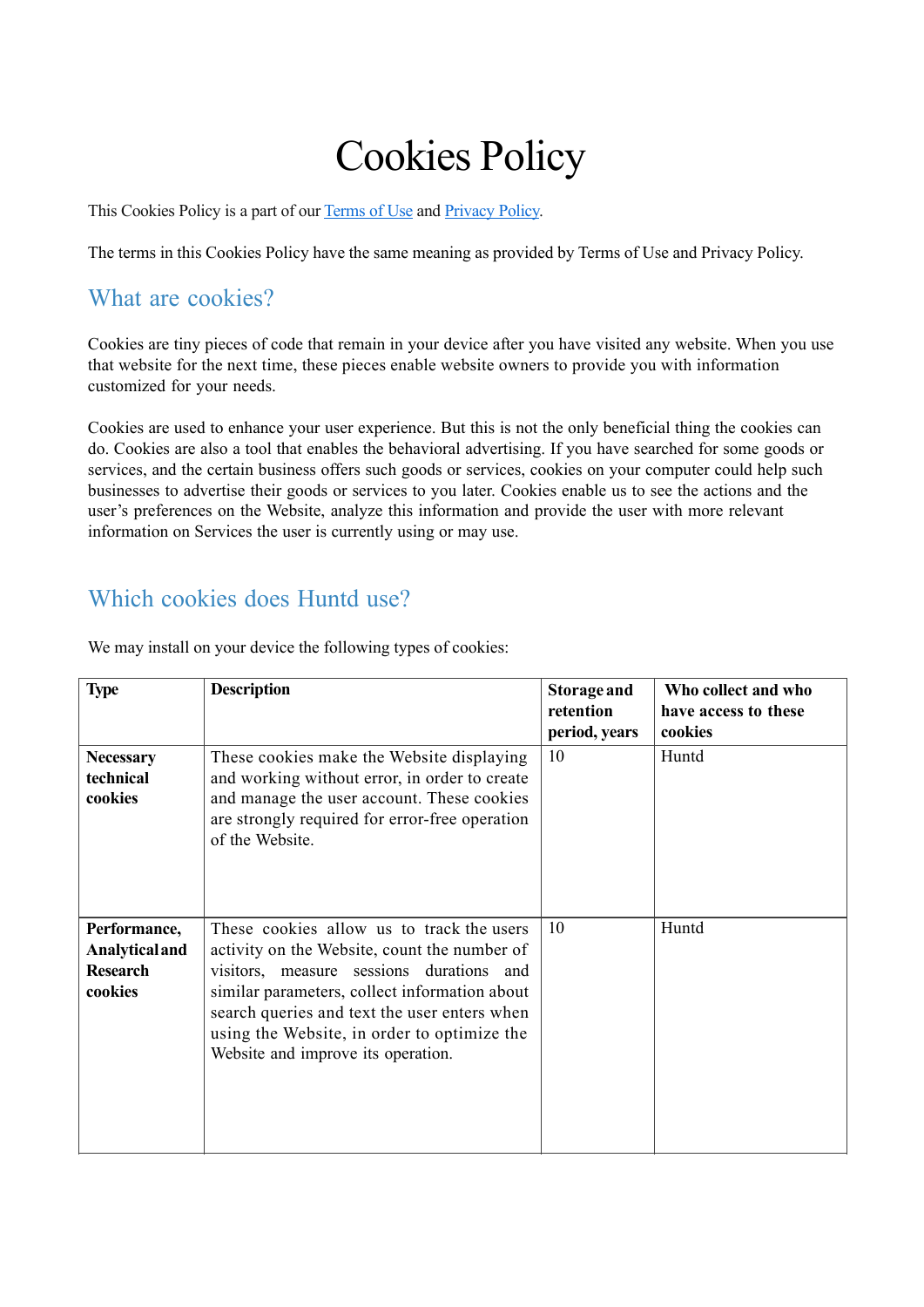# Cookies Policy

This Cookies Policy is a part of our [Terms of Use](https://huntd.tech/terms-of-use.pdf) and [Privacy](https://huntd.tech/privacy-policy.pdf) Policy.

The terms in this Cookies Policy have the same meaning as provided by Terms of Use and Privacy Policy.

#### What are cookies?

Cookies are tiny pieces of code that remain in your device after you have visited any website. When you use that website for the next time, these pieces enable website owners to provide you with information customized for your needs.

Cookies are used to enhance your user experience. But this is not the only beneficial thing the cookies can do. Cookies are also a tool that enables the behavioral advertising. If you have searched for some goods or services, and the certain business offers such goods or services, cookies on your computer could help such businesses to advertise their goods or services to you later. Cookies enable us to see the actions and the user's preferences on the Website, analyze this information and provide the user with more relevant information on Services the user is currently using or may use.

### Which cookies does Huntd use?

| <b>Type</b>                                                         | <b>Description</b>                                                                                                                                                                                                                                                                                                          | <b>Storage and</b> | Who collect and who  |
|---------------------------------------------------------------------|-----------------------------------------------------------------------------------------------------------------------------------------------------------------------------------------------------------------------------------------------------------------------------------------------------------------------------|--------------------|----------------------|
|                                                                     |                                                                                                                                                                                                                                                                                                                             | retention          | have access to these |
|                                                                     |                                                                                                                                                                                                                                                                                                                             | period, years      | cookies              |
| <b>Necessary</b><br>technical<br>cookies                            | These cookies make the Website displaying<br>and working without error, in order to create<br>and manage the user account. These cookies<br>are strongly required for error-free operation<br>of the Website.                                                                                                               | 10                 | Huntd                |
| Performance,<br><b>Analytical and</b><br><b>Research</b><br>cookies | These cookies allow us to track the users<br>activity on the Website, count the number of<br>visitors, measure sessions durations and<br>similar parameters, collect information about<br>search queries and text the user enters when<br>using the Website, in order to optimize the<br>Website and improve its operation. | 10                 | Huntd                |

We may install on your device the following types of cookies: